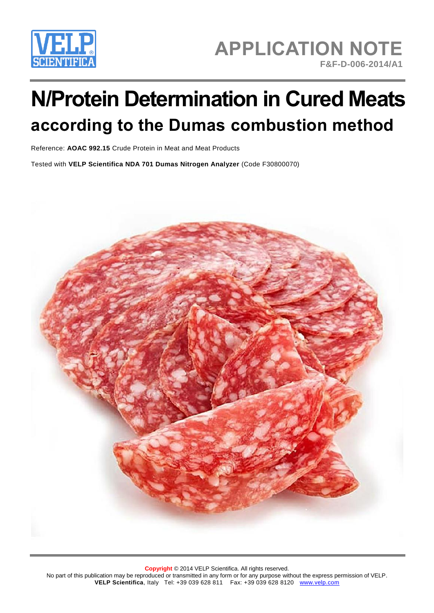

## **APPLICATION NOTE F&F-D-006-2014/A1**

# **N/Protein Determination in Cured Meats according to the Dumas combustion method**

Reference: **AOAC 992.15** Crude Protein in Meat and Meat Products

Tested with **VELP Scientifica NDA 701 Dumas Nitrogen Analyzer** (Code F30800070)

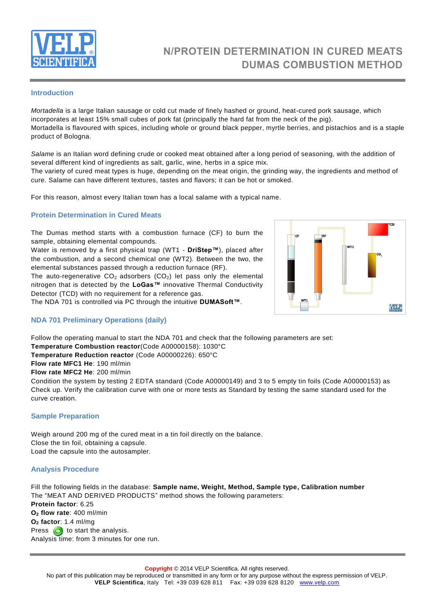

### **N/PROTEIN DETERMINATION IN CURED MEATS DUMAS COMBUSTION METHOD**

#### **Introduction**

*Mortadella* is a large Italian sausage or cold cut made of finely hashed or ground, heat-cured pork sausage, which incorporates at least 15% small cubes of pork fat (principally the hard fat from the neck of the pig). Mortadella is flavoured with spices, including whole or ground black pepper, myrtle berries, and pistachios and is a staple product of Bologna.

*Salame* is an Italian word defining crude or cooked meat obtained after a long period of seasoning, with the addition of several different kind of ingredients as salt, garlic, wine, herbs in a spice mix.

The variety of cured meat types is huge, depending on the meat origin, the grinding way, the ingredients and method of cure. Salame can have different textures, tastes and flavors; it can be hot or smoked.

For this reason, almost every Italian town has a local salame with a typical name.

#### **Protein Determination in Cured Meats**

The Dumas method starts with a combustion furnace (CF) to burn the sample, obtaining elemental compounds.

Water is removed by a first physical trap (WT1 - **DriStep™**), placed after the combustion, and a second chemical one (WT2). Between the two, the elemental substances passed through a reduction furnace (RF). The auto-regenerative  $CO<sub>2</sub>$  adsorbers ( $CO<sub>2</sub>$ ) let pass only the elemental nitrogen that is detected by the **LoGas™** innovative Thermal Conductivity Detector (TCD) with no requirement for a reference gas.

The NDA 701 is controlled via PC through the intuitive **DUMASoft™**.



#### **NDA 701 Preliminary Operations (daily)**

Follow the operating manual to start the NDA 701 and check that the following parameters are set:

**Temperature Combustion reactor**(Code A00000158): 1030°C

**Temperature Reduction reactor** (Code A00000226): 650°C

**Flow rate MFC1 He**: 190 ml/min

**Flow rate MFC2 He**: 200 ml/min

Condition the system by testing 2 EDTA standard (Code A00000149) and 3 to 5 empty tin foils (Code A00000153) as Check up. Verify the calibration curve with one or more tests as Standard by testing the same standard used for the curve creation.

#### **Sample Preparation**

Weigh around 200 mg of the cured meat in a tin foil directly on the balance. Close the tin foil, obtaining a capsule. Load the capsule into the autosampler.

#### **Analysis Procedure**

Fill the following fields in the database: **Sample name, Weight, Method, Sample type, Calibration number** The "MEAT AND DERIVED PRODUCTS" method shows the following parameters: **Protein factor**: 6.25 **O<sup>2</sup> flow rate**: 400 ml/min **O<sup>2</sup> factor**: 1.4 ml/mg Press  $\bigodot$  to start the analysis. Analysis time: from 3 minutes for one run.

**Copyright** © 2014 VELP Scientifica. All rights reserved.

No part of this publication may be reproduced or transmitted in any form or for any purpose without the express permission of VELP. **VELP Scientifica**, Italy Tel: +39 039 628 811 Fax: +39 039 628 8120 [www.velp.com](http://www.velp.com/)